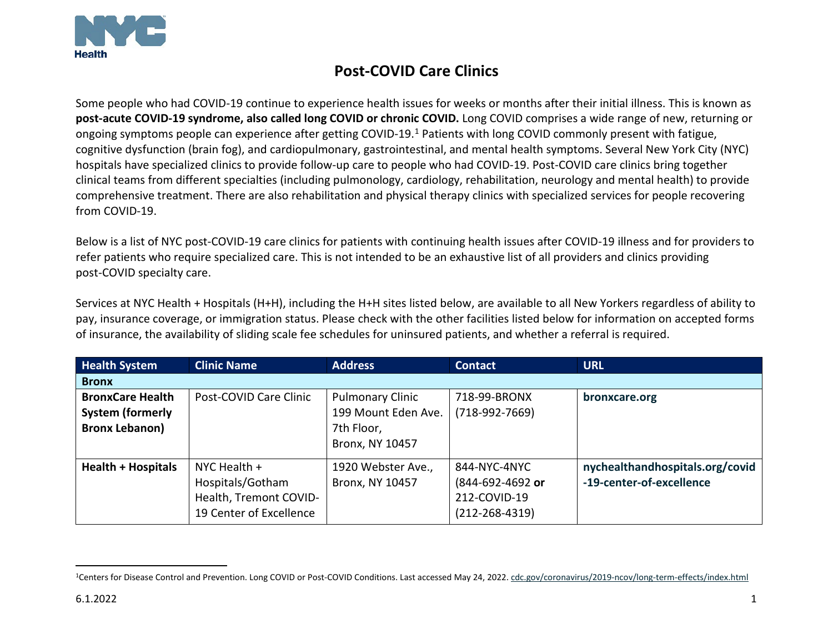

## <span id="page-0-0"></span>**Post-COVID Care Clinics**

Some people who had COVID-19 continue to experience health issues for weeks or months after their initial illness. This is known as **post-acute COVID-19 syndrome, also called long COVID or chronic COVID.** Long COVID comprises a wide range of new, returning or ongoing symptoms people can experience after getting COVID-19.[1](#page-0-0) Patients with long COVID commonly present with fatigue, cognitive dysfunction (brain fog), and cardiopulmonary, gastrointestinal, and mental health symptoms. Several New York City (NYC) hospitals have specialized clinics to provide follow-up care to people who had COVID-19. Post-COVID care clinics bring together clinical teams from different specialties (including pulmonology, cardiology, rehabilitation, neurology and mental health) to provide comprehensive treatment. There are also rehabilitation and physical therapy clinics with specialized services for people recovering from COVID-19.

Below is a list of NYC post-COVID-19 care clinics for patients with continuing health issues after COVID-19 illness and for providers to refer patients who require specialized care. This is not intended to be an exhaustive list of all providers and clinics providing post-COVID specialty care.

Services at NYC Health + Hospitals (H+H), including the H+H sites listed below, are available to all New Yorkers regardless of ability to pay, insurance coverage, or immigration status. Please check with the other facilities listed below for information on accepted forms of insurance, the availability of sliding scale fee schedules for uninsured patients, and whether a referral is required.

| <b>Health System</b>      | <b>Clinic Name</b>      | <b>Address</b>          | <b>Contact</b>       | <b>URL</b>                      |
|---------------------------|-------------------------|-------------------------|----------------------|---------------------------------|
| <b>Bronx</b>              |                         |                         |                      |                                 |
| <b>BronxCare Health</b>   | Post-COVID Care Clinic  | <b>Pulmonary Clinic</b> | 718-99-BRONX         | bronxcare.org                   |
| <b>System (formerly</b>   |                         | 199 Mount Eden Ave.     | $(718-992-7669)$     |                                 |
| <b>Bronx Lebanon)</b>     |                         | 7th Floor,              |                      |                                 |
|                           |                         | <b>Bronx, NY 10457</b>  |                      |                                 |
| <b>Health + Hospitals</b> | NYC Health $+$          | 1920 Webster Ave.,      | 844-NYC-4NYC         | nychealthandhospitals.org/covid |
|                           | Hospitals/Gotham        | Bronx, NY 10457         | (844-692-4692 or     | -19-center-of-excellence        |
|                           | Health, Tremont COVID-  |                         | 212-COVID-19         |                                 |
|                           | 19 Center of Excellence |                         | $(212 - 268 - 4319)$ |                                 |

<sup>1</sup>Centers for Disease Control and Prevention. Long COVID or Post-COVID Conditions. Last accessed May 24, 2022[. cdc.gov/coronavirus/2019-ncov/long-term-effects/index.html](https://www.cdc.gov/coronavirus/2019-ncov/long-term-effects/index.html)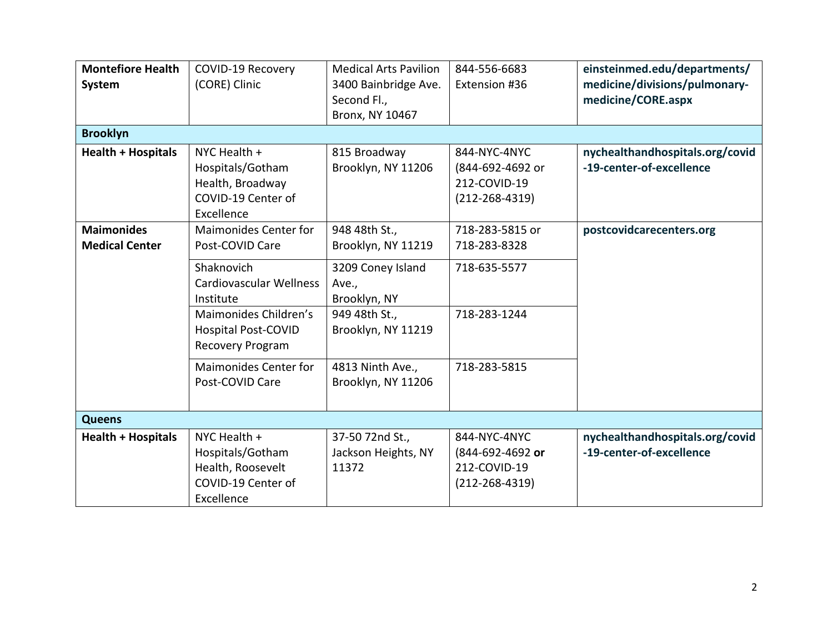| <b>Montefiore Health</b>  | <b>COVID-19 Recovery</b>     | <b>Medical Arts Pavilion</b> | 844-556-6683         | einsteinmed.edu/departments/    |
|---------------------------|------------------------------|------------------------------|----------------------|---------------------------------|
| <b>System</b>             | (CORE) Clinic                | 3400 Bainbridge Ave.         | Extension #36        | medicine/divisions/pulmonary-   |
|                           |                              | Second Fl.,                  |                      | medicine/CORE.aspx              |
|                           |                              | Bronx, NY 10467              |                      |                                 |
| <b>Brooklyn</b>           |                              |                              |                      |                                 |
| <b>Health + Hospitals</b> | NYC Health +                 | 815 Broadway                 | 844-NYC-4NYC         | nychealthandhospitals.org/covid |
|                           | Hospitals/Gotham             | Brooklyn, NY 11206           | (844-692-4692 or     | -19-center-of-excellence        |
|                           | Health, Broadway             |                              | 212-COVID-19         |                                 |
|                           | COVID-19 Center of           |                              | $(212 - 268 - 4319)$ |                                 |
|                           | Excellence                   |                              |                      |                                 |
| <b>Maimonides</b>         | Maimonides Center for        | 948 48th St.,                | 718-283-5815 or      | postcovidcarecenters.org        |
| <b>Medical Center</b>     | Post-COVID Care              | Brooklyn, NY 11219           | 718-283-8328         |                                 |
|                           | Shaknovich                   | 3209 Coney Island            | 718-635-5577         |                                 |
|                           | Cardiovascular Wellness      | Ave.,                        |                      |                                 |
|                           | Institute                    | Brooklyn, NY                 |                      |                                 |
|                           | Maimonides Children's        | 949 48th St.,                | 718-283-1244         |                                 |
|                           | <b>Hospital Post-COVID</b>   | Brooklyn, NY 11219           |                      |                                 |
|                           | <b>Recovery Program</b>      |                              |                      |                                 |
|                           | <b>Maimonides Center for</b> | 4813 Ninth Ave.,             | 718-283-5815         |                                 |
|                           | Post-COVID Care              | Brooklyn, NY 11206           |                      |                                 |
|                           |                              |                              |                      |                                 |
| <b>Queens</b>             |                              |                              |                      |                                 |
| <b>Health + Hospitals</b> | NYC Health $+$               | 37-50 72nd St.,              | 844-NYC-4NYC         | nychealthandhospitals.org/covid |
|                           | Hospitals/Gotham             | Jackson Heights, NY          | (844-692-4692 or     | -19-center-of-excellence        |
|                           | Health, Roosevelt            | 11372                        | 212-COVID-19         |                                 |
|                           | COVID-19 Center of           |                              | $(212 - 268 - 4319)$ |                                 |
|                           | Excellence                   |                              |                      |                                 |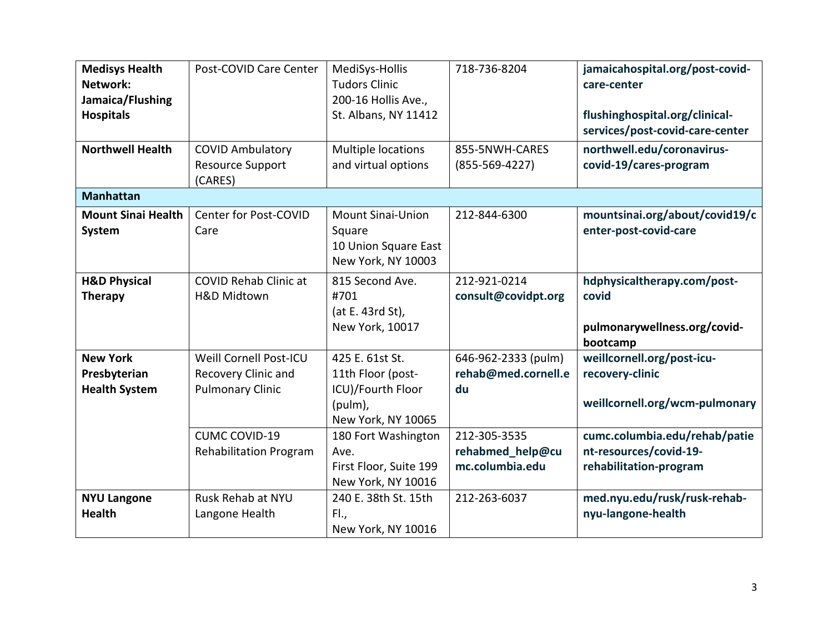| <b>Medisys Health</b><br>Network:<br>Jamaica/Flushing<br><b>Hospitals</b> | Post-COVID Care Center                                                          | MediSys-Hollis<br><b>Tudors Clinic</b><br>200-16 Hollis Ave.,<br>St. Albans, NY 11412      | 718-736-8204                                        | jamaicahospital.org/post-covid-<br>care-center<br>flushinghospital.org/clinical-<br>services/post-covid-care-center |
|---------------------------------------------------------------------------|---------------------------------------------------------------------------------|--------------------------------------------------------------------------------------------|-----------------------------------------------------|---------------------------------------------------------------------------------------------------------------------|
| <b>Northwell Health</b>                                                   | <b>COVID Ambulatory</b><br><b>Resource Support</b><br>(CARES)                   | Multiple locations<br>and virtual options                                                  | 855-5NWH-CARES<br>$(855 - 569 - 4227)$              | northwell.edu/coronavirus-<br>covid-19/cares-program                                                                |
| <b>Manhattan</b>                                                          |                                                                                 |                                                                                            |                                                     |                                                                                                                     |
| <b>Mount Sinai Health</b><br><b>System</b>                                | <b>Center for Post-COVID</b><br>Care                                            | <b>Mount Sinai-Union</b><br>Square<br>10 Union Square East<br>New York, NY 10003           | 212-844-6300                                        | mountsinai.org/about/covid19/c<br>enter-post-covid-care                                                             |
| <b>H&amp;D Physical</b><br><b>Therapy</b>                                 | <b>COVID Rehab Clinic at</b><br><b>H&amp;D Midtown</b>                          | 815 Second Ave.<br>#701<br>(at E. 43rd St),<br>New York, 10017                             | 212-921-0214<br>consult@covidpt.org                 | hdphysicaltherapy.com/post-<br>covid<br>pulmonarywellness.org/covid-<br>bootcamp                                    |
| <b>New York</b><br>Presbyterian<br><b>Health System</b>                   | <b>Weill Cornell Post-ICU</b><br>Recovery Clinic and<br><b>Pulmonary Clinic</b> | 425 E. 61st St.<br>11th Floor (post-<br>ICU)/Fourth Floor<br>(pulm),<br>New York, NY 10065 | 646-962-2333 (pulm)<br>rehab@med.cornell.e<br>du    | weillcornell.org/post-icu-<br>recovery-clinic<br>weillcornell.org/wcm-pulmonary                                     |
|                                                                           | <b>CUMC COVID-19</b><br><b>Rehabilitation Program</b>                           | 180 Fort Washington<br>Ave.<br>First Floor, Suite 199<br>New York, NY 10016                | 212-305-3535<br>rehabmed_help@cu<br>mc.columbia.edu | cumc.columbia.edu/rehab/patie<br>nt-resources/covid-19-<br>rehabilitation-program                                   |
| <b>NYU Langone</b><br><b>Health</b>                                       | Rusk Rehab at NYU<br>Langone Health                                             | 240 E. 38th St. 15th<br>Fl.,<br>New York, NY 10016                                         | 212-263-6037                                        | med.nyu.edu/rusk/rusk-rehab-<br>nyu-langone-health                                                                  |